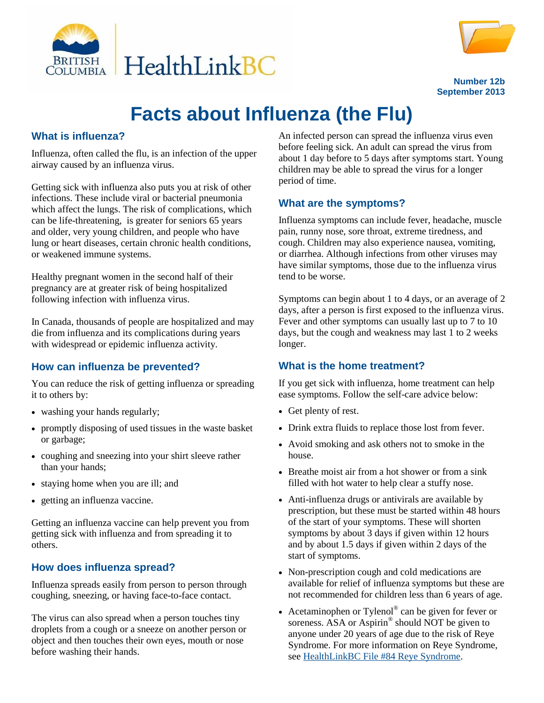



**Number 12b September 2013**

# **Facts about Influenza (the Flu)**

#### **What is influenza?**

Influenza, often called the flu, is an infection of the upper airway caused by an influenza virus.

Getting sick with influenza also puts you at risk of other infections. These include viral or bacterial pneumonia which affect the lungs. The risk of complications, which can be life-threatening, is greater for seniors 65 years and older, very young children, and people who have lung or heart diseases, certain chronic health conditions, or weakened immune systems.

Healthy pregnant women in the second half of their pregnancy are at greater risk of being hospitalized following infection with influenza virus.

In Canada, thousands of people are hospitalized and may die from influenza and its complications during years with widespread or epidemic influenza activity.

### **How can influenza be prevented?**

You can reduce the risk of getting influenza or spreading it to others by:

- washing your hands regularly;
- promptly disposing of used tissues in the waste basket or garbage;
- coughing and sneezing into your shirt sleeve rather than your hands;
- staying home when you are ill; and
- getting an influenza vaccine.

Getting an influenza vaccine can help prevent you from getting sick with influenza and from spreading it to others.

### **How does influenza spread?**

Influenza spreads easily from person to person through coughing, sneezing, or having face-to-face contact.

The virus can also spread when a person touches tiny droplets from a cough or a sneeze on another person or object and then touches their own eyes, mouth or nose before washing their hands.

An infected person can spread the influenza virus even before feeling sick. An adult can spread the virus from about 1 day before to 5 days after symptoms start. Young children may be able to spread the virus for a longer period of time.

### **What are the symptoms?**

Influenza symptoms can include fever, headache, muscle pain, runny nose, sore throat, extreme tiredness, and cough. Children may also experience nausea, vomiting, or diarrhea. Although infections from other viruses may have similar symptoms, those due to the influenza virus tend to be worse.

Symptoms can begin about 1 to 4 days, or an average of 2 days, after a person is first exposed to the influenza virus. Fever and other symptoms can usually last up to 7 to 10 days, but the cough and weakness may last 1 to 2 weeks longer.

#### **What is the home treatment?**

If you get sick with influenza, home treatment can help ease symptoms. Follow the self-care advice below:

- Get plenty of rest.
- Drink extra fluids to replace those lost from fever.
- Avoid smoking and ask others not to smoke in the house.
- Breathe moist air from a hot shower or from a sink filled with hot water to help clear a stuffy nose.
- Anti-influenza drugs or antivirals are available by prescription, but these must be started within 48 hours of the start of your symptoms. These will shorten symptoms by about 3 days if given within 12 hours and by about 1.5 days if given within 2 days of the start of symptoms.
- Non-prescription cough and cold medications are available for relief of influenza symptoms but these are not recommended for children less than 6 years of age.
- Acetaminophen or Tylenol<sup>®</sup> can be given for fever or soreness. ASA or Aspirin<sup>®</sup> should NOT be given to anyone under 20 years of age due to the risk of Reye Syndrome. For more information on Reye Syndrome, see [HealthLinkBC File #84 Reye Syndrome.](http://www.healthlinkbc.ca/healthfiles/hfile84.stm)